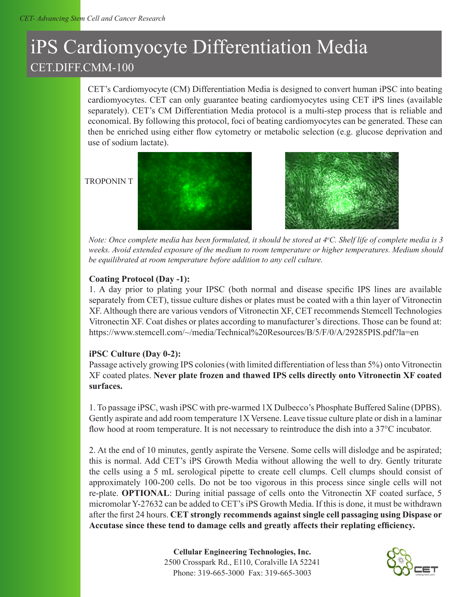# iPS Cardiomyocyte Differentiation Media CET.DIFF.CMM-100

CET's Cardiomyocyte (CM) Differentiation Media is designed to convert human iPSC into beating cardiomyocytes. CET can only guarantee beating cardiomyocytes using CET iPS lines (available separately). CET's CM Differentiation Media protocol is a multi-step process that is reliable and economical. By following this protocol, foci of beating cardiomyocytes can be generated. These can then be enriched using either flow cytometry or metabolic selection (e.g. glucose deprivation and use of sodium lactate).

#### TROPONIN T





Note: Once complete media has been formulated, it should be stored at 4°C. Shelf life of complete media is 3 *weeks. Avoid extended exposure of the medium to room temperature or higher temperatures. Medium should be equilibrated at room temperature before addition to any cell culture.*

# **Coating Protocol (Day -1):**

1. A day prior to plating your IPSC (both normal and disease specific IPS lines are available separately from CET), tissue culture dishes or plates must be coated with a thin layer of Vitronectin XF. Although there are various vendors of Vitronectin XF, CET recommends Stemcell Technologies Vitronectin XF. Coat dishes or plates according to manufacturer's directions. Those can be found at: https://www.stemcell.com/~/media/Technical%20Resources/B/5/F/0/A/29285PIS.pdf?la=en

# **iPSC Culture (Day 0-2):**

Passage actively growing IPS colonies (with limited differentiation of less than 5%) onto Vitronectin XF coated plates. **Never plate frozen and thawed IPS cells directly onto Vitronectin XF coated surfaces.** 

1. To passage iPSC, wash iPSC with pre-warmed 1X Dulbecco's Phosphate Buffered Saline (DPBS). Gently aspirate and add room temperature 1X Versene. Leave tissue culture plate or dish in a laminar flow hood at room temperature. It is not necessary to reintroduce the dish into a 37<sup>o</sup>C incubator.

2. At the end of 10 minutes, gently aspirate the Versene. Some cells will dislodge and be aspirated; this is normal. Add CET's iPS Growth Media without allowing the well to dry. Gently triturate the cells using a 5 mL serological pipette to create cell clumps. Cell clumps should consist of approximately 100-200 cells. Do not be too vigorous in this process since single cells will not re-plate. **OPTIONAL**: During initial passage of cells onto the Vitronectin XF coated surface, 5 micromolar Y-27632 can be added to CET's iPS Growth Media. If this is done, it must be withdrawn after the first 24 hours. **CET strongly recommends against single cell passaging using Dispase or Accutase since these tend to damage cells and greatly affects their replating efficiency.**

> **Cellular Engineering Technologies, Inc.** 2500 Crosspark Rd., E110, Coralville IA 52241 Phone: 319-665-3000 Fax: 319-665-3003

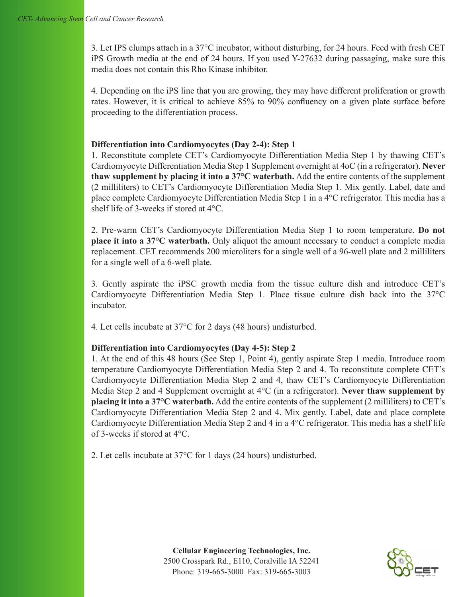3. Let IPS clumps attach in a 37°C incubator, without disturbing, for 24 hours. Feed with fresh CET iPS Growth media at the end of 24 hours. If you used Y-27632 during passaging, make sure this media does not contain this Rho Kinase inhibitor.

4. Depending on the iPS line that you are growing, they may have different proliferation or growth rates. However, it is critical to achieve 85% to 90% confluency on a given plate surface before proceeding to the differentiation process.

#### **Differentiation into Cardiomyocytes (Day 2-4): Step 1**

1. Reconstitute complete CET's Cardiomyocyte Differentiation Media Step 1 by thawing CET's Cardiomyocyte Differentiation Media Step 1 Supplement overnight at 4oC (in a refrigerator). **Never thaw supplement by placing it into a 37°C waterbath.** Add the entire contents of the supplement (2 milliliters) to CET's Cardiomyocyte Differentiation Media Step 1. Mix gently. Label, date and place complete Cardiomyocyte Differentiation Media Step 1 in a 4°C refrigerator. This media has a shelf life of 3-weeks if stored at 4°C.

2. Pre-warm CET's Cardiomyocyte Differentiation Media Step 1 to room temperature. **Do not place it into a 37°C waterbath.** Only aliquot the amount necessary to conduct a complete media replacement. CET recommends 200 microliters for a single well of a 96-well plate and 2 milliliters for a single well of a 6-well plate.

3. Gently aspirate the iPSC growth media from the tissue culture dish and introduce CET's Cardiomyocyte Differentiation Media Step 1. Place tissue culture dish back into the 37°C incubator.

4. Let cells incubate at 37°C for 2 days (48 hours) undisturbed.

# **Differentiation into Cardiomyocytes (Day 4-5): Step 2**

1. At the end of this 48 hours (See Step 1, Point 4), gently aspirate Step 1 media. Introduce room temperature Cardiomyocyte Differentiation Media Step 2 and 4. To reconstitute complete CET's Cardiomyocyte Differentiation Media Step 2 and 4, thaw CET's Cardiomyocyte Differentiation Media Step 2 and 4 Supplement overnight at 4°C (in a refrigerator). **Never thaw supplement by placing it into a 37°C waterbath.** Add the entire contents of the supplement (2 milliliters) to CET's Cardiomyocyte Differentiation Media Step 2 and 4. Mix gently. Label, date and place complete Cardiomyocyte Differentiation Media Step 2 and 4 in a 4°C refrigerator. This media has a shelf life of 3-weeks if stored at 4°C.

2. Let cells incubate at 37°C for 1 days (24 hours) undisturbed.

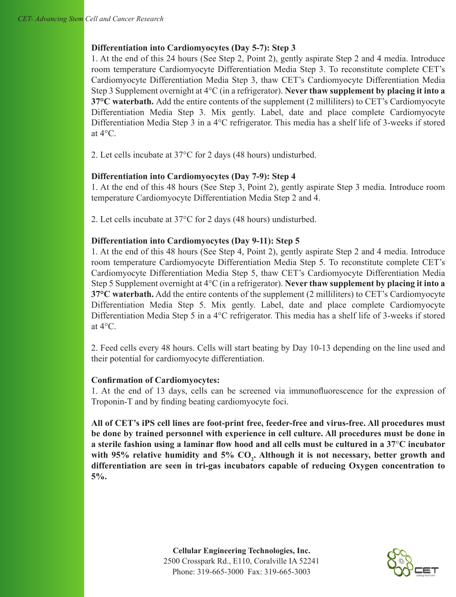# **Differentiation into Cardiomyocytes (Day 5-7): Step 3**

1. At the end of this 24 hours (See Step 2, Point 2), gently aspirate Step 2 and 4 media. Introduce room temperature Cardiomyocyte Differentiation Media Step 3. To reconstitute complete CET's Cardiomyocyte Differentiation Media Step 3, thaw CET's Cardiomyocyte Differentiation Media Step 3 Supplement overnight at 4°C (in a refrigerator). **Never thaw supplement by placing it into a 37°C waterbath.** Add the entire contents of the supplement (2 milliliters) to CET's Cardiomyocyte Differentiation Media Step 3. Mix gently. Label, date and place complete Cardiomyocyte Differentiation Media Step 3 in a 4°C refrigerator. This media has a shelf life of 3-weeks if stored at 4°C.

2. Let cells incubate at 37°C for 2 days (48 hours) undisturbed.

# **Differentiation into Cardiomyocytes (Day 7-9): Step 4**

1. At the end of this 48 hours (See Step 3, Point 2), gently aspirate Step 3 media. Introduce room temperature Cardiomyocyte Differentiation Media Step 2 and 4.

2. Let cells incubate at 37°C for 2 days (48 hours) undisturbed.

#### **Differentiation into Cardiomyocytes (Day 9-11): Step 5**

1. At the end of this 48 hours (See Step 4, Point 2), gently aspirate Step 2 and 4 media. Introduce room temperature Cardiomyocyte Differentiation Media Step 5. To reconstitute complete CET's Cardiomyocyte Differentiation Media Step 5, thaw CET's Cardiomyocyte Differentiation Media Step 5 Supplement overnight at 4°C (in a refrigerator). **Never thaw supplement by placing it into a 37°C waterbath.** Add the entire contents of the supplement (2 milliliters) to CET's Cardiomyocyte Differentiation Media Step 5. Mix gently. Label, date and place complete Cardiomyocyte Differentiation Media Step 5 in a 4°C refrigerator. This media has a shelf life of 3-weeks if stored at 4°C.

2. Feed cells every 48 hours. Cells will start beating by Day 10-13 depending on the line used and their potential for cardiomyocyte differentiation.

# **Confirmation of Cardiomyocytes:**

1. At the end of 13 days, cells can be screened via immunofluorescence for the expression of Troponin-T and by finding beating cardiomyocyte foci.

**All of CET's iPS cell lines are foot-print free, feeder-free and virus-free. All procedures must be done by trained personnel with experience in cell culture. All procedures must be done in a sterile fashion using a laminar flow hood and all cells must be cultured in a 37**°**C incubator**  with 95% relative humidity and 5% CO<sub>2</sub>. Although it is not necessary, better growth and **differentiation are seen in tri-gas incubators capable of reducing Oxygen concentration to 5%.**